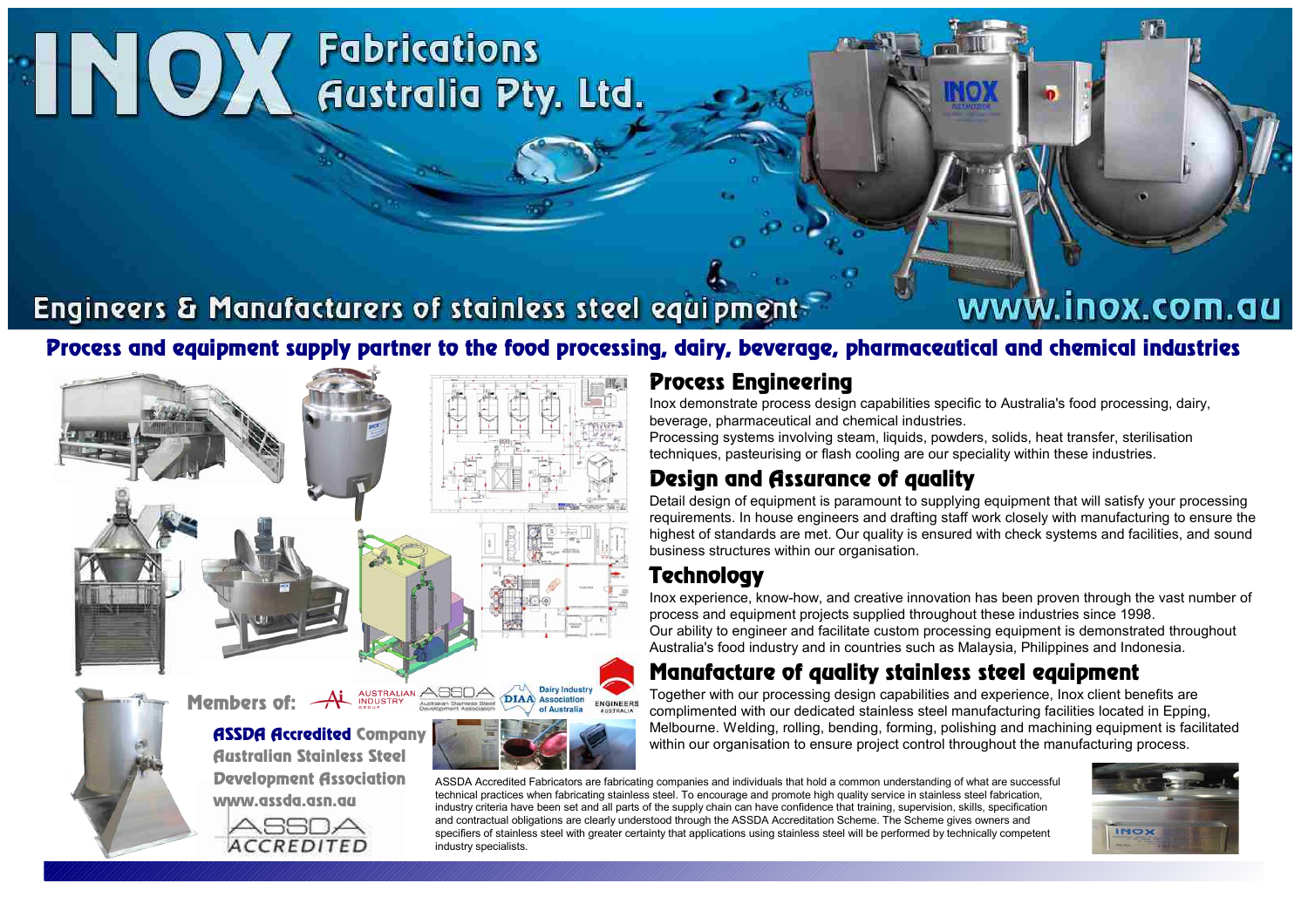# **INOX Fabrications**

## Engineers & Manufacturers of stainless steel equipment-

# www.inox.com.au

## Process and equipment supply partner to the food processing, dairy, beverage, pharmaceutical and chemical industries

 $\frac{1}{2}$ Members of:  $\overbrace{A}_{\text{subusianian phase B}}^{\text{AUSTRALIAN}}$ **Dairy Industry DIAA** Association ENGINEERS ASSDA Accredited Company Australian Stainless Steel Development Association www.assda.asn.au ASSOA **ACCREDITED** industry specialists.

### Process Engineering

Inox demonstrate process design capabilities specific to Australia's food processing, dairy, beverage, pharmaceutical and chemical industries.

Processing systems involving steam, liquids, powders, solids, heat transfer, sterilisation techniques, pasteurising or flash cooling are our speciality within these industries.

## Design and Assurance of quality

Detail design of equipment is paramount to supplying equipment that will satisfy your processing requirements. In house engineers and drafting staff work closely with manufacturing to ensure the highest of standards are met. Our quality is ensured with check systems and facilities, and sound business structures within our organisation.

## **Technology**

Inox experience, know-how, and creative innovation has been proven through the vast number of process and equipment projects supplied throughout these industries since 1998. Our ability to engineer and facilitate custom processing equipment is demonstrated throughout Australia's food industry and in countries such as Malaysia, Philippines and Indonesia.

## Manufacture of quality stainless steel equipment

Together with our processing design capabilities and experience, Inox client benefits are complimented with our dedicated stainless steel manufacturing facilities located in Epping, Melbourne. Welding, rolling, bending, forming, polishing and machining equipment is facilitated within our organisation to ensure project control throughout the manufacturing process.

ASSDA Accredited Fabricators are fabricating companies and individuals that hold a common understanding of what are successful technical practices when fabricating stainless steel. To encourage and promote high quality service in stainless steel fabrication, industry criteria have been set and all parts of the supply chain can have confidence that training, supervision, skills, specification and contractual obligations are clearly understood through the ASSDA Accreditation Scheme. The Scheme gives owners and specifiers of stainless steel with greater certainty that applications using stainless steel will be performed by technically competent

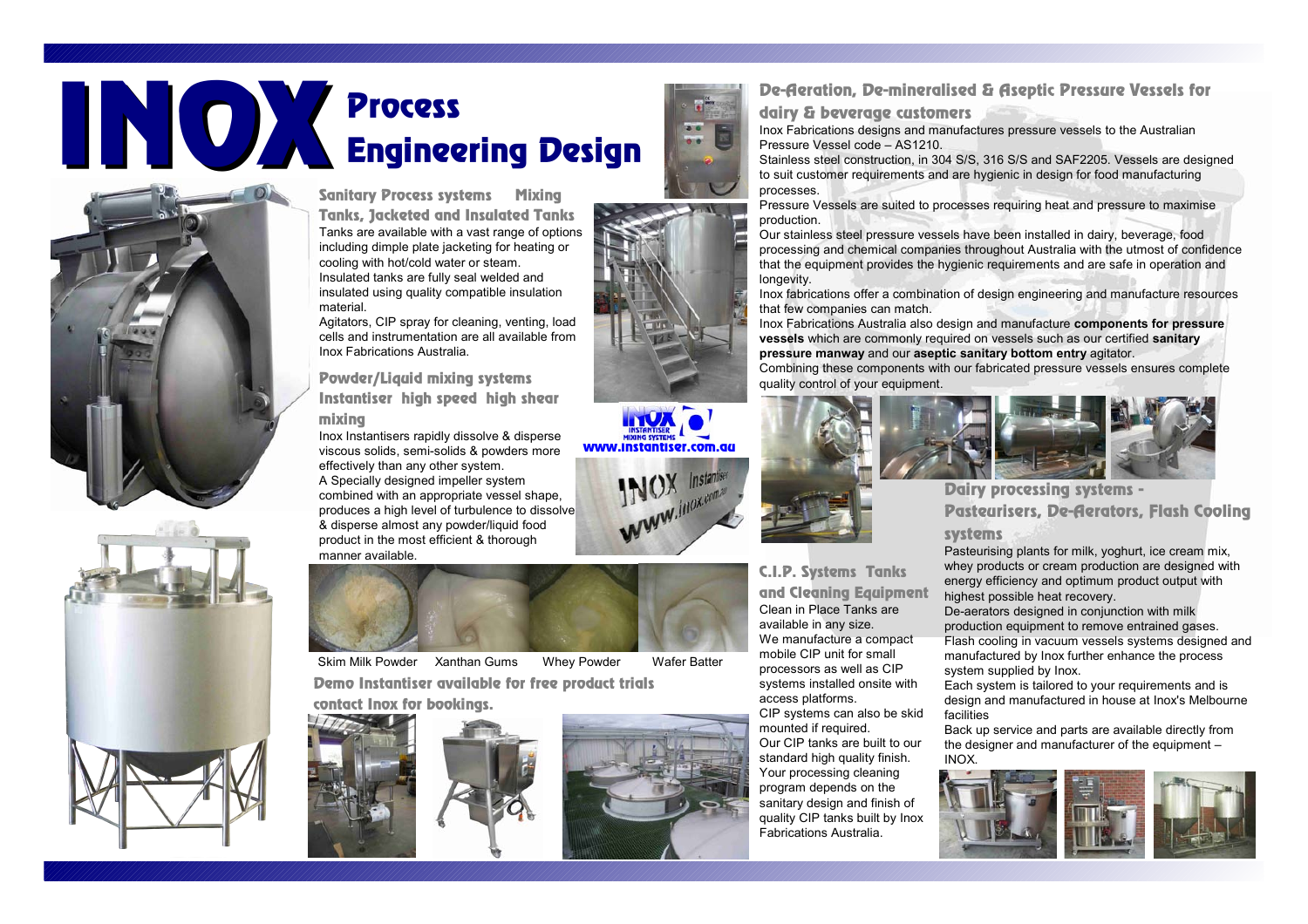# Process Engineering Design INOX



Sanitary Process systems Mixing Tanks, Jacketed and Insulated Tanks Tanks are available with a vast range of options including dimple plate jacketing for heating or cooling with hot/cold water or steam. Insulated tanks are fully seal welded and insulated using quality compatible insulation material.

Agitators, CIP spray for cleaning, venting, load cells and instrumentation are all available from Inox Fabrications Australia.

Powder/Liquid mixing systems Instantiser high speed high shear

#### mixing

Inox Instantisers rapidly dissolve & disperse viscous solids, semi-solids & powders more effectively than any other system. A Specially designed impeller system combined with an appropriate vessel shape, produces a high level of turbulence to dissolve & disperse almost any powder/liquid food product in the most efficient & thorough manner available.



Skim Milk Powder Xanthan Gums Whey Powder Wafer Batter Demo Instantiser available for free product trials –

contact Inox for bookings.







#### De-Aeration, De-mineralised & Aseptic Pressure Vessels for

dairy & beverage customers

Inox Fabrications designs and manufactures pressure vessels to the Australian Pressure Vessel code – AS1210.

Stainless steel construction, in 304 S/S, 316 S/S and SAF2205. Vessels are designed to suit customer requirements and are hygienic in design for food manufacturing processes.

Pressure Vessels are suited to processes requiring heat and pressure to maximise production.

Our stainless steel pressure vessels have been installed in dairy, beverage, food processing and chemical companies throughout Australia with the utmost of confidence that the equipment provides the hygienic requirements and are safe in operation and longevity.

Inox fabrications offer a combination of design engineering and manufacture resources that few companies can match.

Inox Fabrications Australia also design and manufacture **components for pressure vessels** which are commonly required on vessels such as our certified **sanitary pressure manway** and our **aseptic sanitary bottom entry** agitator.

Combining these components with our fabricated pressure vessels ensures complete quality control of your equipment.





Dairy processing systems - Pasteurisers, De-Aerators, Flash Cooling systems

Pasteurising plants for milk, yoghurt, ice cream mix, whey products or cream production are designed with energy efficiency and optimum product output with highest possible heat recovery.

De-aerators designed in conjunction with milk production equipment to remove entrained gases. Flash cooling in vacuum vessels systems designed and manufactured by Inox further enhance the process system supplied by Inox.

Each system is tailored to your requirements and is design and manufactured in house at Inox's Melbourne facilities

Back up service and parts are available directly from the designer and manufacturer of the equipment – INOX.





Our CIP tanks are built to our standard high quality finish. Your processing cleaning program depends on the sanitary design and finish of quality CIP tanks built by Inox Fabrications Australia.

C.I.P. Systems Tanks

**INCOME** 





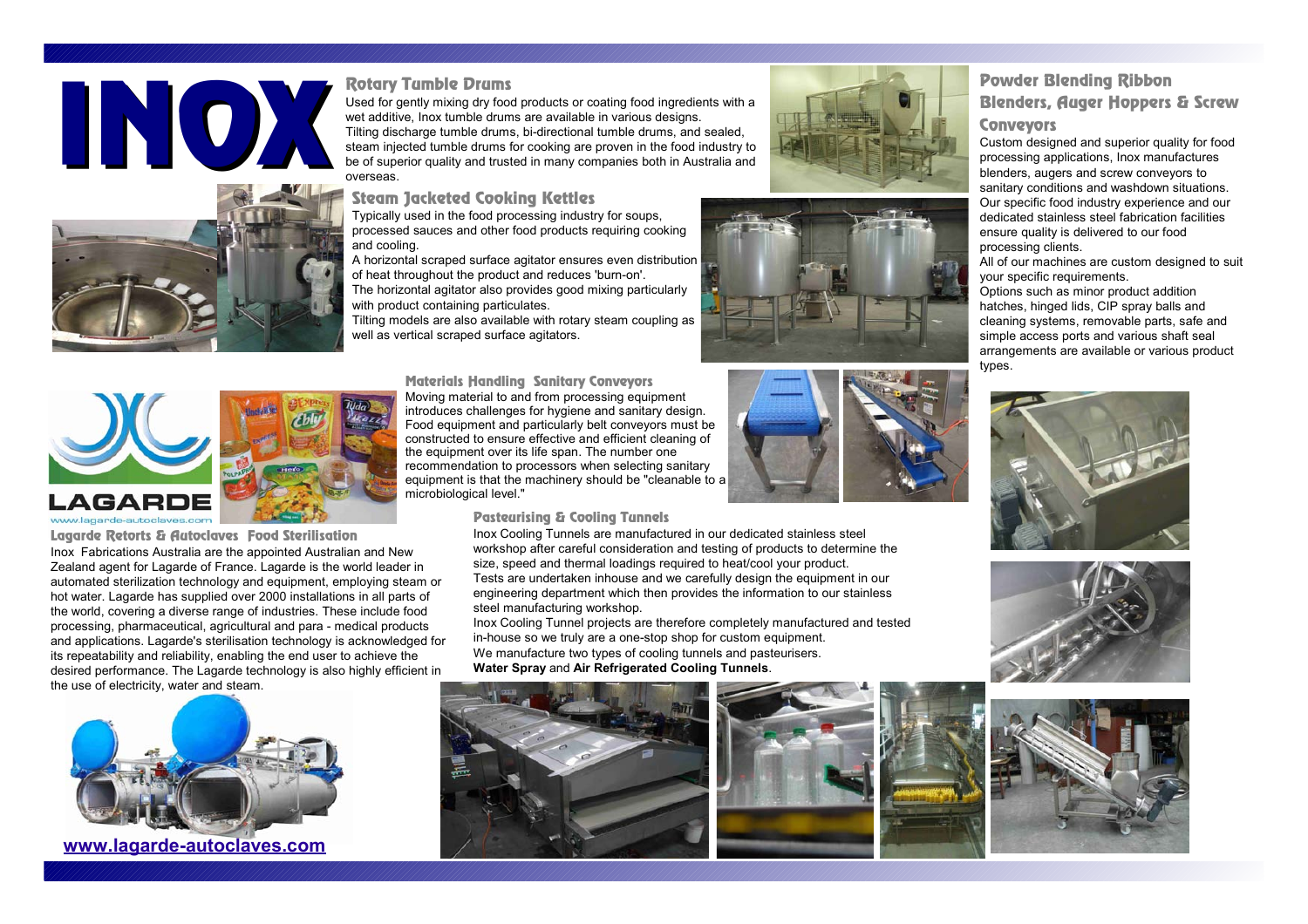



#### Rotary Tumble Drums

Used for gently mixing dry food products or coating food ingredients with a wet additive, Inox tumble drums are available in various designs. Tilting discharge tumble drums, bi-directional tumble drums, and sealed, steam injected tumble drums for cooking are proven in the food industry to Used for gently mixing dry food products or coating food ingredients with a<br>wet additive, lnox tumble drums are available in various designs.<br>Tilting discharge tumble drums, bi-directional tumble drums, and sealed,<br>steam i

Steam Jacketed Cooking Kettles

Typically used in the food processing industry for soups, processed sauces and other food products requiring cooking and cooling.

A horizontal scraped surface agitator ensures even distribution of heat throughout the product and reduces 'burn-on'. The horizontal agitator also provides good mixing particularly

with product containing particulates.

Tilting models are also available with rotary steam coupling as well as vertical scraped surface agitators.









#### www.lagarde-autoclaves.com

Lagarde Retorts & Autoclaves Food Sterilisation Inox Fabrications Australia are the appointed Australian and New Zealand agent for Lagarde of France. Lagarde is the world leader in automated sterilization technology and equipment, employing steam or hot water. Lagarde has supplied over 2000 installations in all parts of the world, covering a diverse range of industries. These include food processing, pharmaceutical, agricultural and para - medical products and applications. Lagarde's sterilisation technology is acknowledged for its repeatability and reliability, enabling the end user to achieve the desired performance. The Lagarde technology is also highly efficient in the use of electricity, water and steam.



**www.lagarde-autoclaves.com**

Materials Handling – Sanitary Conveyors Moving material to and from processing equipment introduces challenges for hygiene and sanitary design. Food equipment and particularly belt conveyors must be constructed to ensure effective and efficient cleaning of the equipment over its life span. The number one recommendation to processors when selecting sanitary equipment is that the machinery should be "cleanable to a microbiological level."

#### Pasteurising & Cooling Tunnels

Inox Cooling Tunnels are manufactured in our dedicated stainless steel workshop after careful consideration and testing of products to determine the size, speed and thermal loadings required to heat/cool your product. Tests are undertaken inhouse and we carefully design the equipment in our engineering department which then provides the information to our stainless steel manufacturing workshop.

Inox Cooling Tunnel projects are therefore completely manufactured and tested in-house so we truly are a one-stop shop for custom equipment. We manufacture two types of cooling tunnels and pasteurisers. **Water Spray** and **Air Refrigerated Cooling Tunnels**.







#### Powder Blending Ribbon Blenders, Auger Hoppers & Screw

#### **Conveyors**

Custom designed and superior quality for food processing applications, Inox manufactures blenders, augers and screw conveyors to sanitary conditions and washdown situations. Our specific food industry experience and our dedicated stainless steel fabrication facilities ensure quality is delivered to our food processing clients.

All of our machines are custom designed to suit your specific requirements.

Options such as minor product addition hatches, hinged lids, CIP spray balls and cleaning systems, removable parts, safe and simple access ports and various shaft seal arrangements are available or various product types.